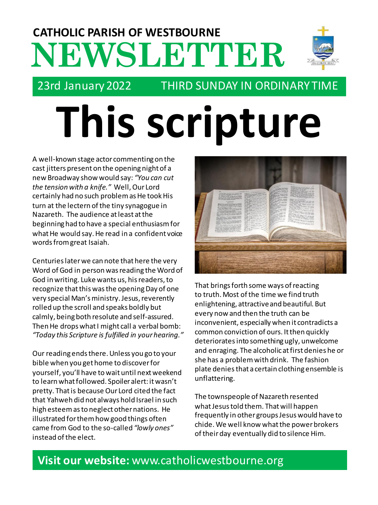## **NEWSLETTER CATHOLIC PARISH OF WESTBOURNE**



### 23rd January 2022 THIRD SUNDAY IN ORDINARY TIME

# **This scripture**

A well-known stage actor commenting on the cast jitters present on the opening night of a new Broadway show would say: *"You can cut the tension with a knife."* Well, Our Lord certainly had no such problem as He took His turn at the lectern of the tiny synagogue in Nazareth. The audience at least at the beginning had to have a special enthusiasm for what He would say. He read in a confident voice words from great Isaiah.

Centuries later we can note that here the very Word of God in person was reading the Word of God in writing. Luke wants us, his readers, to recognize that this was the opening Day of one very special Man's ministry. Jesus, reverently rolled up the scroll and speaks boldly but calmly, being both resolute and self-assured. Then He drops what I might call a verbal bomb: *"Today this Scripture is fulfilled in your hearing."*

Our reading ends there. Unless you go to your bible when you get home to discover for yourself, you'll have to wait until next weekend to learn what followed. Spoiler alert: it wasn't pretty. That is because Our Lord cited the fact that Yahweh did not always hold Israel in such high esteem as to neglect other nations. He illustrated for them how good things often came from God to the so-called *"lowly ones"* instead of the elect.



That brings forth some ways of reacting to truth. Most of the time we find truth enlightening, attractive and beautiful. But every now and then the truth can be inconvenient, especially when it contradicts a common conviction of ours. It then quickly deterioratesinto something ugly, unwelcome and enraging. The alcoholic at first denies he or she has a problem with drink. The fashion plate deniesthat a certain clothing ensemble is unflattering.

The townspeople of Nazareth resented what Jesus told them. That will happen frequently in other groups Jesus would have to chide. We well know what the power brokers of their day eventually did to silence Him.

## **Visit our website:** www.catholicwestbourne.org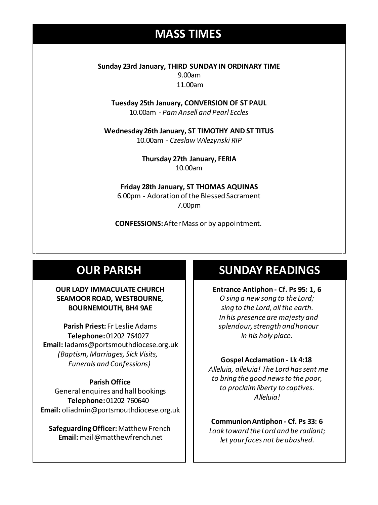#### **MASS TIMES**

**Sunday 23rd January, THIRD SUNDAY IN ORDINARY TIME** 9.00am 11.00am

**Tuesday 25th January, CONVERSION OF ST PAUL** 10.00am - *Pam Ansell and Pearl Eccles*

**Sunday 11th 9am:** *The Parish* **11am** *Tim Mc Cann* **Wednesday 14th** *Repose of the souls of Bernard Charles and Elsie May Pratt* **Wednesday 26th January, ST TIMOTHY AND ST TITUS** 10.00am - *Czeslaw Wilezynski RIP*

**Saturday 16th** *Rosemarie Schofield RIP* **Thursday 27th January, FERIA** 10.00am

> **Friday 28th January, ST THOMAS AQUINAS** 6.00pm **-** Adoration of the Blessed Sacrament 7.00pm

**CONFESSIONS:**After Mass or by appointment.

#### **OUR PARISH**

#### **OUR LADY IMMACULATE CHURCH SEAMOOR ROAD, WESTBOURNE, BOURNEMOUTH, BH4 9AE**

**Parish Priest:** Fr Leslie Adams **Telephone:**01202 764027 **Email:** ladams@portsmouthdiocese.org.uk *(Baptism, Marriages, Sick Visits, Funerals and Confessions)*

#### **Parish Office**

General enquires andhall bookings **Telephone:**01202 760640 **Email:** oliadmin@portsmouthdiocese.org.uk

**Safeguarding Officer:** Matthew French **Email:** mail@matthewfrench.net

#### **SUNDAY READINGS**

**Entrance Antiphon - Cf. Ps 95: 1, 6** *O sing a new song to the Lord; sing to the Lord, all the earth. In his presence are majesty and splendour,strength and honour in his holy place.* 

#### **Gospel Acclamation - Lk 4:18**

*Alleluia, alleluia! The Lord has sent me to bring the good news to the poor, to proclaim liberty to captives. Alleluia!* 

**Communion Antiphon - Cf. Ps 33: 6** *Look toward the Lord and be radiant; let your faces not be abashed.*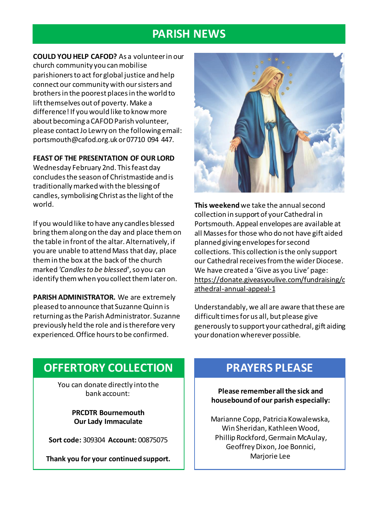#### **PARISH NEWS**

**COULD YOU HELP CAFOD?** As a volunteer in our church community you can mobilise parishioners to act for global justice and help connect our community with our sisters and brothers in the poorest places in the world to lift themselves out of poverty. Make a difference! If you would like to know more about becoming a CAFOD Parish volunteer, please contact Jo Lewry on the following email: portsmouth@cafod.org.uk or 07710 094 447.

#### **FEAST OF THE PRESENTATION OF OUR LORD**

Wednesday February 2nd. This feast day concludes the season of Christmastide and is traditionally marked with the blessing of candles, symbolising Christ as the light of the world.

If you would like to have any candles blessed bring them along on the day and place them on the table in front of the altar. Alternatively, if you are unable to attend Mass that day, place them in the box at the back of the church marked *'Candles to be blessed*', so you can identify them when you collect them later on.

**PARISH ADMINISTRATOR.** We are extremely pleased to announce that Suzanne Quinn is returning as the Parish Administrator. Suzanne previously held the role and is therefore very experienced. Office hours to be confirmed.



**This weekend**we take the annual second collection in support of your Cathedral in Portsmouth. Appeal envelopes are available at all Masses for those who do not have gift aided planned giving envelopes for second collections. This collection is the only support our Cathedral receives from the wider Diocese. We have created a 'Give as you Live' page: https://donate.giveasyoulive.com/fundraising/c athedral-annual-appeal-1

Understandably, we all are aware that these are difficult times for us all, but please give generously to support your cathedral, gift aiding your donation wherever possible.

#### **OFFERTORY COLLECTION**

You can donate directly into the bank account:

> **PRCDTR Bournemouth Our Lady Immaculate**

**Sort code:** 309304 **Account:** 00875075

**Thank you for your continued support.**

#### **PRAYERS PLEASE**

**Please remember all the sick and housebound of our parish especially:**

Marianne Copp, Patricia Kowalewska, Win Sheridan, Kathleen Wood, Phillip Rockford, Germain McAulay, Geoffrey Dixon, Joe Bonnici, Marjorie Lee